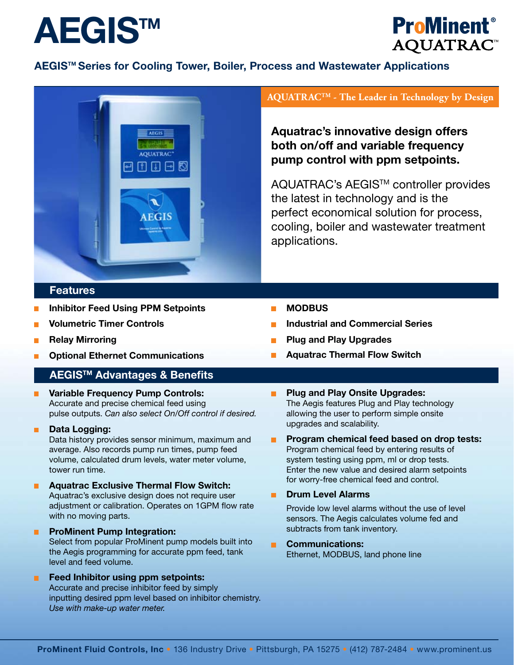



## **AEGISTM Series for Cooling Tower, Boiler, Process and Wastewater Applications**